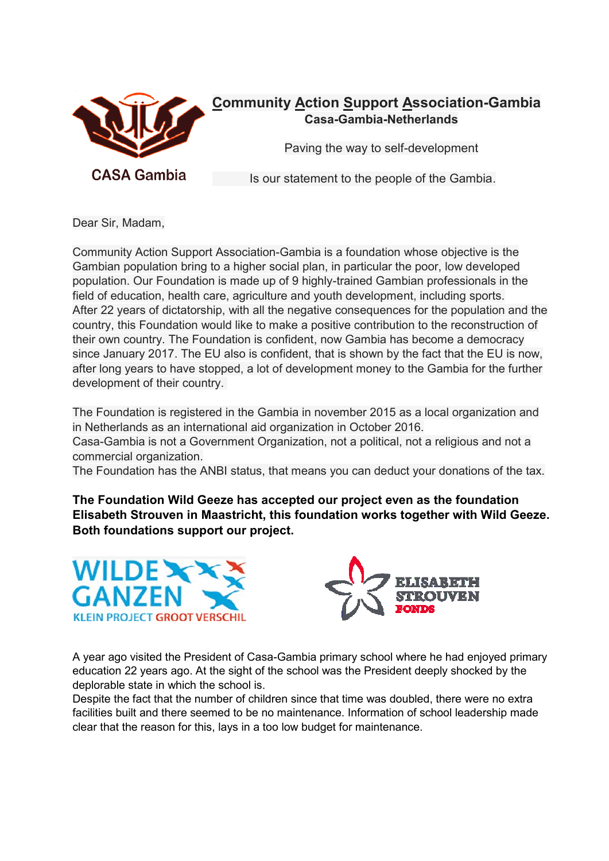

### **Community Action Support Association-Gambia Casa-Gambia-Netherlands**

Paving the way to self-development

Is our statement to the people of the Gambia.

Dear Sir, Madam,

Community Action Support Association-Gambia is a foundation whose objective is the Gambian population bring to a higher social plan, in particular the poor, low developed population. Our Foundation is made up of 9 highly-trained Gambian professionals in the field of education, health care, agriculture and youth development, including sports. After 22 years of dictatorship, with all the negative consequences for the population and the country, this Foundation would like to make a positive contribution to the reconstruction of their own country. The Foundation is confident, now Gambia has become a democracy since January 2017. The EU also is confident, that is shown by the fact that the EU is now, after long years to have stopped, a lot of development money to the Gambia for the further development of their country.

The Foundation is registered in the Gambia in november 2015 as a local organization and in Netherlands as an international aid organization in October 2016. Casa-Gambia is not a Government Organization, not a political, not a religious and not a commercial organization.

The Foundation has the ANBI status, that means you can deduct your donations of the tax.

**The Foundation Wild Geeze has accepted our project even as the foundation Elisabeth Strouven in Maastricht, this foundation works together with Wild Geeze. Both foundations support our project.** 





A year ago visited the President of Casa-Gambia primary school where he had enjoyed primary education 22 years ago. At the sight of the school was the President deeply shocked by the deplorable state in which the school is.

Despite the fact that the number of children since that time was doubled, there were no extra facilities built and there seemed to be no maintenance. Information of school leadership made clear that the reason for this, lays in a too low budget for maintenance.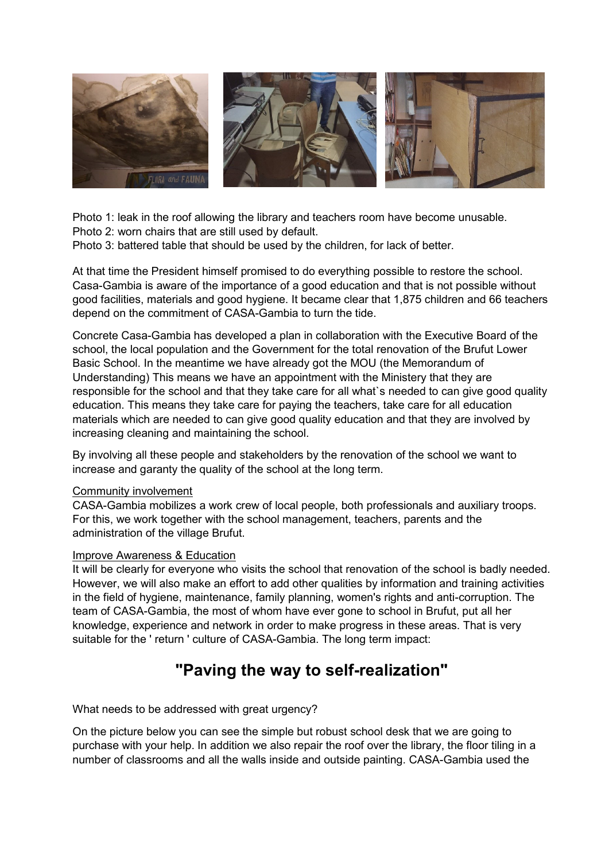

Photo 1: leak in the roof allowing the library and teachers room have become unusable.

Photo 2: worn chairs that are still used by default.

Photo 3: battered table that should be used by the children, for lack of better.

At that time the President himself promised to do everything possible to restore the school. Casa-Gambia is aware of the importance of a good education and that is not possible without good facilities, materials and good hygiene. It became clear that 1,875 children and 66 teachers depend on the commitment of CASA-Gambia to turn the tide.

Concrete Casa-Gambia has developed a plan in collaboration with the Executive Board of the school, the local population and the Government for the total renovation of the Brufut Lower Basic School. In the meantime we have already got the MOU (the Memorandum of Understanding) This means we have an appointment with the Ministery that they are responsible for the school and that they take care for all what`s needed to can give good quality education. This means they take care for paying the teachers, take care for all education materials which are needed to can give good quality education and that they are involved by increasing cleaning and maintaining the school.

By involving all these people and stakeholders by the renovation of the school we want to increase and garanty the quality of the school at the long term.

### Community involvement

CASA-Gambia mobilizes a work crew of local people, both professionals and auxiliary troops. For this, we work together with the school management, teachers, parents and the administration of the village Brufut.

### Improve Awareness & Education

It will be clearly for everyone who visits the school that renovation of the school is badly needed. However, we will also make an effort to add other qualities by information and training activities in the field of hygiene, maintenance, family planning, women's rights and anti-corruption. The team of CASA-Gambia, the most of whom have ever gone to school in Brufut, put all her knowledge, experience and network in order to make progress in these areas. That is very suitable for the ' return ' culture of CASA-Gambia. The long term impact:

## **"Paving the way to self-realization"**

What needs to be addressed with great urgency?

On the picture below you can see the simple but robust school desk that we are going to purchase with your help. In addition we also repair the roof over the library, the floor tiling in a number of classrooms and all the walls inside and outside painting. CASA-Gambia used the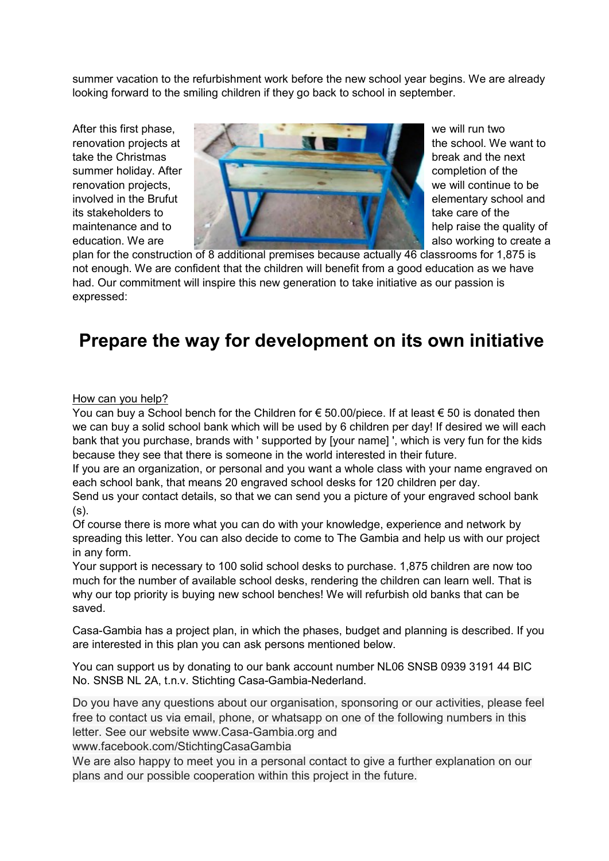summer vacation to the refurbishment work before the new school year begins. We are already looking forward to the smiling children if they go back to school in september.



plan for the construction of 8 additional premises because actually 46 classrooms for 1,875 is not enough. We are confident that the children will benefit from a good education as we have had. Our commitment will inspire this new generation to take initiative as our passion is expressed:

# **Prepare the way for development on its own initiative**

### How can you help?

You can buy a School bench for the Children for  $\epsilon$  50.00/piece. If at least  $\epsilon$  50 is donated then we can buy a solid school bank which will be used by 6 children per day! If desired we will each bank that you purchase, brands with ' supported by [your name] ', which is very fun for the kids because they see that there is someone in the world interested in their future.

If you are an organization, or personal and you want a whole class with your name engraved on each school bank, that means 20 engraved school desks for 120 children per day.

Send us your contact details, so that we can send you a picture of your engraved school bank  $(s)$ .

Of course there is more what you can do with your knowledge, experience and network by spreading this letter. You can also decide to come to The Gambia and help us with our project in any form.

Your support is necessary to 100 solid school desks to purchase. 1,875 children are now too much for the number of available school desks, rendering the children can learn well. That is why our top priority is buying new school benches! We will refurbish old banks that can be saved.

Casa-Gambia has a project plan, in which the phases, budget and planning is described. If you are interested in this plan you can ask persons mentioned below.

You can support us by donating to our bank account number NL06 SNSB 0939 3191 44 BIC No. SNSB NL 2A, t.n.v. Stichting Casa-Gambia-Nederland.

Do you have any questions about our organisation, sponsoring or our activities, please feel free to contact us via email, phone, or whatsapp on one of the following numbers in this letter. See our website www.Casa-Gambia.org and

www.facebook.com/StichtingCasaGambia

We are also happy to meet you in a personal contact to give a further explanation on our plans and our possible cooperation within this project in the future.